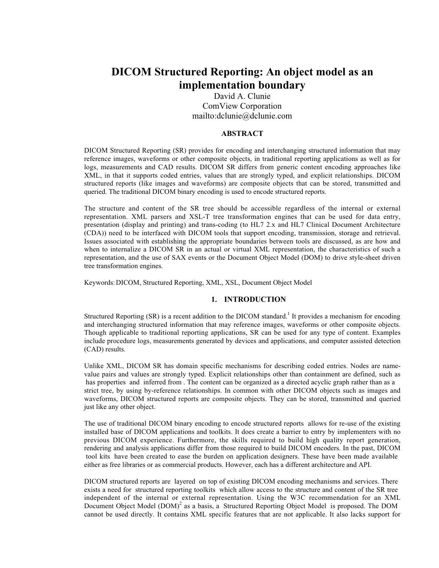# **DICOM Structured Reporting: An object model as an implementation boundary**

David A. Clunie ComView Corporation mailto:dclunie@dclunie.com

## **ABSTRACT**

DICOM Structured Reporting (SR) provides for encoding and interchanging structured information that may reference images, waveforms or other composite objects, in traditional reporting applications as well as for logs, measurements and CAD results. DICOM SR differs from generic content encoding approaches like XML, in that it supports coded entries, values that are strongly typed, and explicit relationships. DICOM structured reports (like images and waveforms) are composite objects that can be stored, transmitted and queried. The traditional DICOM binary encoding is used to encode structured reports.

The structure and content of the SR tree should be accessible regardless of the internal or external representation. XML parsers and XSL-T tree transformation engines that can be used for data entry, presentation (display and printing) and trans-coding (to HL7 2.x and HL7 Clinical Document Architecture (CDA)) need to be interfaced with DICOM tools that support encoding, transmission, storage and retrieval. Issues associated with establishing the appropriate boundaries between tools are discussed, as are how and when to internalize a DICOM SR in an actual or virtual XML representation, the characteristics of such a representation, and the use of SAX events or the Document Object Model (DOM) to drive style-sheet driven tree transformation engines.

Keywords: DICOM, Structured Reporting, XML, XSL, Document Object Model

# **1. INTRODUCTION**

Structured Reporting (SR) is a recent addition to the DICOM standard.<sup>1</sup> It provides a mechanism for encoding and interchanging structured information that may reference images, waveforms or other composite objects. Though applicable to traditional reporting applications, SR can be used for any type of content. Examples include procedure logs, measurements generated by devices and applications, and computer assisted detection (CAD) results.

Unlike XML, DICOM SR has domain specific mechanisms for describing coded entries. Nodes are namevalue pairs and values are strongly typed. Explicit relationships other than containment are defined, such as has properties and inferred from . The content can be organized as a directed acyclic graph rather than as a strict tree, by using by-reference relationships. In common with other DICOM objects such as images and waveforms, DICOM structured reports are composite objects. They can be stored, transmitted and queried just like any other object.

The use of traditional DICOM binary encoding to encode structured reports allows for re-use of the existing installed base of DICOM applications and toolkits. It does create a barrier to entry by implementers with no previous DICOM experience. Furthermore, the skills required to build high quality report generation, rendering and analysis applications differ from those required to build DICOM encoders. In the past, DICOM tool kits have been created to ease the burden on application designers. These have been made available either as free libraries or as commercial products. However, each has a different architecture and API.

DICOM structured reports are layered on top of existing DICOM encoding mechanisms and services. There exists a need for structured reporting toolkits which allow access to the structure and content of the SR tree independent of the internal or external representation. Using the W3C recommendation for an XML Document Object Model (DOM)<sup>2</sup> as a basis, a Structured Reporting Object Model is proposed. The DOM cannot be used directly. It contains XML specific features that are not applicable. It also lacks support for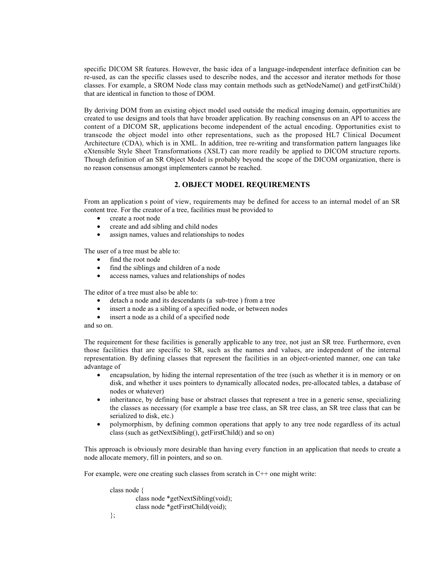specific DICOM SR features. However, the basic idea of a language-independent interface definition can be re-used, as can the specific classes used to describe nodes, and the accessor and iterator methods for those classes. For example, a SROM Node class may contain methods such as getNodeName() and getFirstChild() that are identical in function to those of DOM.

By deriving DOM from an existing object model used outside the medical imaging domain, opportunities are created to use designs and tools that have broader application. By reaching consensus on an API to access the content of a DICOM SR, applications become independent of the actual encoding. Opportunities exist to transcode the object model into other representations, such as the proposed HL7 Clinical Document Architecture (CDA), which is in XML. In addition, tree re-writing and transformation pattern languages like eXtensible Style Sheet Transformations (XSLT) can more readily be applied to DICOM structure reports. Though definition of an SR Object Model is probably beyond the scope of the DICOM organization, there is no reason consensus amongst implementers cannot be reached.

#### **2. OBJECT MODEL REQUIREMENTS**

From an application s point of view, requirements may be defined for access to an internal model of an SR content tree. For the creator of a tree, facilities must be provided to

- create a root node
- create and add sibling and child nodes
- assign names, values and relationships to nodes

The user of a tree must be able to:

- find the root node
- find the siblings and children of a node
- access names, values and relationships of nodes

The editor of a tree must also be able to:

- detach a node and its descendants (a sub-tree ) from a tree
- insert a node as a sibling of a specified node, or between nodes
- insert a node as a child of a specified node

and so on.

The requirement for these facilities is generally applicable to any tree, not just an SR tree. Furthermore, even those facilities that are specific to SR, such as the names and values, are independent of the internal representation. By defining classes that represent the facilities in an object-oriented manner, one can take advantage of

- encapsulation, by hiding the internal representation of the tree (such as whether it is in memory or on disk, and whether it uses pointers to dynamically allocated nodes, pre-allocated tables, a database of nodes or whatever)
- inheritance, by defining base or abstract classes that represent a tree in a generic sense, specializing the classes as necessary (for example a base tree class, an SR tree class, an SR tree class that can be serialized to disk, etc.)
- polymorphism, by defining common operations that apply to any tree node regardless of its actual class (such as getNextSibling(), getFirstChild() and so on)

This approach is obviously more desirable than having every function in an application that needs to create a node allocate memory, fill in pointers, and so on.

For example, were one creating such classes from scratch in C++ one might write:

```
class node {
         class node *getNextSibling(void);
         class node *getFirstChild(void);
};
```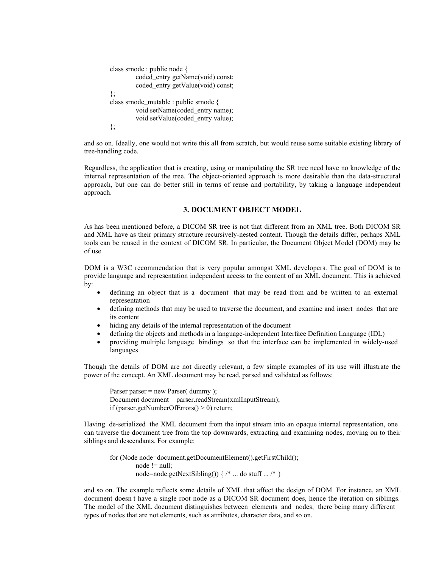```
class srnode : public node {
        coded_entry getName(void) const;
        coded_entry getValue(void) const;
};
class srnode_mutable : public srnode {
        void setName(coded_entry name);
        void setValue(coded_entry value);
};
```
and so on. Ideally, one would not write this all from scratch, but would reuse some suitable existing library of tree-handling code.

Regardless, the application that is creating, using or manipulating the SR tree need have no knowledge of the internal representation of the tree. The object-oriented approach is more desirable than the data-structural approach, but one can do better still in terms of reuse and portability, by taking a language independent approach.

#### **3. DOCUMENT OBJECT MODEL**

As has been mentioned before, a DICOM SR tree is not that different from an XML tree. Both DICOM SR and XML have as their primary structure recursively-nested content. Though the details differ, perhaps XML tools can be reused in the context of DICOM SR. In particular, the Document Object Model (DOM) may be of use.

DOM is a W3C recommendation that is very popular amongst XML developers. The goal of DOM is to provide language and representation independent access to the content of an XML document. This is achieved by:

- defining an object that is a document that may be read from and be written to an external representation
- defining methods that may be used to traverse the document, and examine and insert nodes that are its content
- hiding any details of the internal representation of the document
- defining the objects and methods in a language-independent Interface Definition Language (IDL)
- providing multiple language bindings so that the interface can be implemented in widely-used languages

Though the details of DOM are not directly relevant, a few simple examples of its use will illustrate the power of the concept. An XML document may be read, parsed and validated as follows:

Parser parser  $=$  new Parser( dummy ); Document document = parser.readStream(xmlInputStream); if (parser.getNumberOfErrors() > 0) return;

Having de-serialized the XML document from the input stream into an opaque internal representation, one can traverse the document tree from the top downwards, extracting and examining nodes, moving on to their siblings and descendants. For example:

for (Node node=document.getDocumentElement().getFirstChild(); node != null; node=node.getNextSibling()) {  $/* \dots$  do stuff  $\dots$   $/* \}$ 

and so on. The example reflects some details of XML that affect the design of DOM. For instance, an XML document doesn t have a single root node as a DICOM SR document does, hence the iteration on siblings. The model of the XML document distinguishes between elements and nodes, there being many different types of nodes that are not elements, such as attributes, character data, and so on.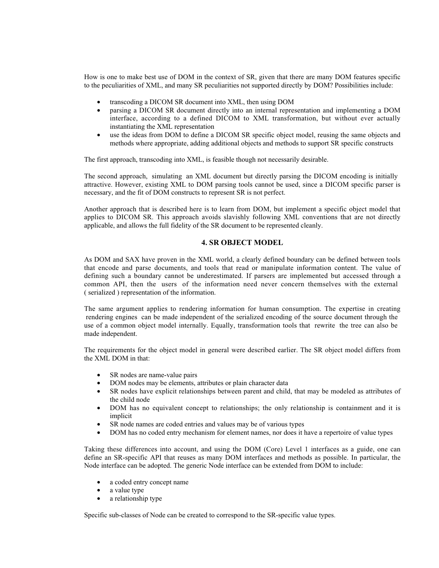How is one to make best use of DOM in the context of SR, given that there are many DOM features specific to the peculiarities of XML, and many SR peculiarities not supported directly by DOM? Possibilities include:

- transcoding a DICOM SR document into XML, then using DOM
- parsing a DICOM SR document directly into an internal representation and implementing a DOM interface, according to a defined DICOM to XML transformation, but without ever actually instantiating the XML representation
- use the ideas from DOM to define a DICOM SR specific object model, reusing the same objects and methods where appropriate, adding additional objects and methods to support SR specific constructs

The first approach, transcoding into XML, is feasible though not necessarily desirable.

The second approach, simulating an XML document but directly parsing the DICOM encoding is initially attractive. However, existing XML to DOM parsing tools cannot be used, since a DICOM specific parser is necessary, and the fit of DOM constructs to represent SR is not perfect.

Another approach that is described here is to learn from DOM, but implement a specific object model that applies to DICOM SR. This approach avoids slavishly following XML conventions that are not directly applicable, and allows the full fidelity of the SR document to be represented cleanly.

## **4. SR OBJECT MODEL**

As DOM and SAX have proven in the XML world, a clearly defined boundary can be defined between tools that encode and parse documents, and tools that read or manipulate information content. The value of defining such a boundary cannot be underestimated. If parsers are implemented but accessed through a common API, then the users of the information need never concern themselves with the external ( serialized ) representation of the information.

The same argument applies to rendering information for human consumption. The expertise in creating rendering engines can be made independent of the serialized encoding of the source document through the use of a common object model internally. Equally, transformation tools that rewrite the tree can also be made independent.

The requirements for the object model in general were described earlier. The SR object model differs from the XML DOM in that:

- SR nodes are name-value pairs
- DOM nodes may be elements, attributes or plain character data
- SR nodes have explicit relationships between parent and child, that may be modeled as attributes of the child node
- DOM has no equivalent concept to relationships; the only relationship is containment and it is implicit
- SR node names are coded entries and values may be of various types
- DOM has no coded entry mechanism for element names, nor does it have a repertoire of value types

Taking these differences into account, and using the DOM (Core) Level 1 interfaces as a guide, one can define an SR-specific API that reuses as many DOM interfaces and methods as possible. In particular, the Node interface can be adopted. The generic Node interface can be extended from DOM to include:

- a coded entry concept name
- a value type
- a relationship type

Specific sub-classes of Node can be created to correspond to the SR-specific value types.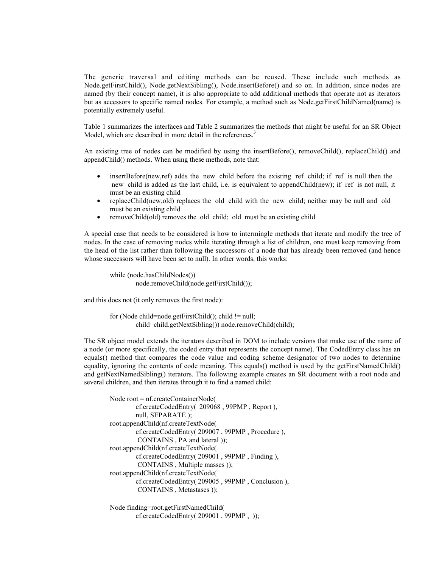The generic traversal and editing methods can be reused. These include such methods as Node.getFirstChild(), Node.getNextSibling(), Node.insertBefore() and so on. In addition, since nodes are named (by their concept name), it is also appropriate to add additional methods that operate not as iterators but as accessors to specific named nodes. For example, a method such as Node.getFirstChildNamed(name) is potentially extremely useful.

Table 1 summarizes the interfaces and Table 2 summarizes the methods that might be useful for an SR Object Model, which are described in more detail in the references.<sup>3</sup>

An existing tree of nodes can be modified by using the insertBefore(), removeChild(), replaceChild() and appendChild() methods. When using these methods, note that:

- insertBefore(new,ref) adds the new child before the existing ref child; if ref is null then the new child is added as the last child, i.e. is equivalent to appendChild(new); if ref is not null, it must be an existing child
- replaceChild(new,old) replaces the old child with the new child; neither may be null and old must be an existing child
- removeChild(old) removes the old child; old must be an existing child

A special case that needs to be considered is how to intermingle methods that iterate and modify the tree of nodes. In the case of removing nodes while iterating through a list of children, one must keep removing from the head of the list rather than following the successors of a node that has already been removed (and hence whose successors will have been set to null). In other words, this works:

while (node.hasChildNodes()) node.removeChild(node.getFirstChild());

and this does not (it only removes the first node):

for (Node child=node.getFirstChild(); child != null; child=child.getNextSibling()) node.removeChild(child);

The SR object model extends the iterators described in DOM to include versions that make use of the name of a node (or more specifically, the coded entry that represents the concept name). The CodedEntry class has an equals() method that compares the code value and coding scheme designator of two nodes to determine equality, ignoring the contents of code meaning. This equals() method is used by the getFirstNamedChild() and getNextNamedSibling() iterators. The following example creates an SR document with a root node and several children, and then iterates through it to find a named child:

```
Node root = nf.createContainerNode(
        cf.createCodedEntry( 209068 , 99PMP , Report ),
        null, SEPARATE );
root.appendChild(nf.createTextNode(
        cf.createCodedEntry( 209007 , 99PMP , Procedure ),
        CONTAINS , PA and lateral ));
root.appendChild(nf.createTextNode(
        cf.createCodedEntry( 209001 , 99PMP , Finding ),
         CONTAINS , Multiple masses ));
root.appendChild(nf.createTextNode(
        cf.createCodedEntry( 209005 , 99PMP , Conclusion ),
         CONTAINS , Metastases ));
```
Node finding=root.getFirstNamedChild( cf.createCodedEntry( 209001 , 99PMP , ));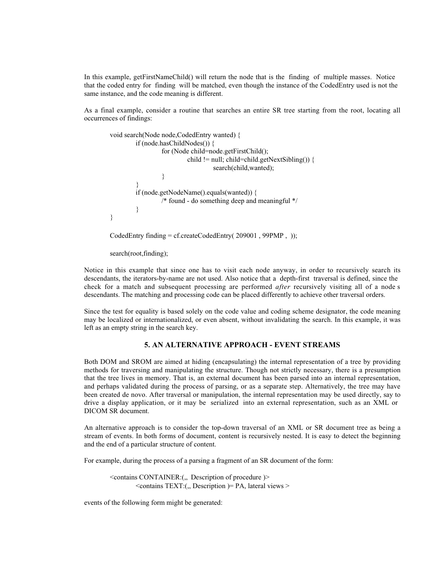In this example, getFirstNameChild() will return the node that is the finding of multiple masses. Notice that the coded entry for finding will be matched, even though the instance of the CodedEntry used is not the same instance, and the code meaning is different.

As a final example, consider a routine that searches an entire SR tree starting from the root, locating all occurrences of findings:

```
void search(Node node,CodedEntry wanted) {
        if (node.hasChildNodes()) {
                 for (Node child=node.getFirstChild();
                          child != null; child=child.getNextSibling()) {
                                   search(child,wanted);
                 }
         }
        if (node.getNodeName().equals(wanted)) {
                 /* found - do something deep and meaningful */
        }
}
CodedEntry finding = cf.createCodedEntry( 209001 , 99PMP , ));
```
search(root,finding);

Notice in this example that since one has to visit each node anyway, in order to recursively search its descendants, the iterators-by-name are not used. Also notice that a depth-first traversal is defined, since the check for a match and subsequent processing are performed *after* recursively visiting all of a node s descendants. The matching and processing code can be placed differently to achieve other traversal orders.

Since the test for equality is based solely on the code value and coding scheme designator, the code meaning may be localized or internationalized, or even absent, without invalidating the search. In this example, it was left as an empty string in the search key.

### **5. AN ALTERNATIVE APPROACH - EVENT STREAMS**

Both DOM and SROM are aimed at hiding (encapsulating) the internal representation of a tree by providing methods for traversing and manipulating the structure. Though not strictly necessary, there is a presumption that the tree lives in memory. That is, an external document has been parsed into an internal representation, and perhaps validated during the process of parsing, or as a separate step. Alternatively, the tree may have been created de novo. After traversal or manipulation, the internal representation may be used directly, say to drive a display application, or it may be serialized into an external representation, such as an XML or DICOM SR document.

An alternative approach is to consider the top-down traversal of an XML or SR document tree as being a stream of events. In both forms of document, content is recursively nested. It is easy to detect the beginning and the end of a particular structure of content.

For example, during the process of a parsing a fragment of an SR document of the form:

<contains CONTAINER:(,, Description of procedure )>  $\alpha$  <contains TEXT:(,, Description )= PA, lateral views >

events of the following form might be generated: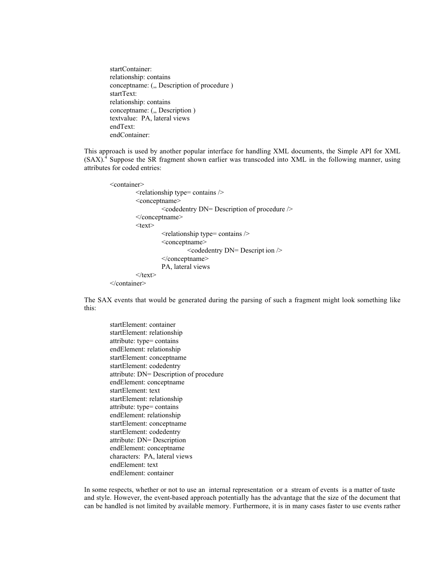startContainer: relationship: contains conceptname: (,, Description of procedure ) startText: relationship: contains conceptname: (,, Description ) textvalue: PA, lateral views endText: endContainer:

This approach is used by another popular interface for handling XML documents, the Simple API for XML  $(SAX).$ <sup>4</sup> Suppose the SR fragment shown earlier was transcoded into XML in the following manner, using attributes for coded entries:

```
<container>
         <relationship type= contains />
         <conceptname>
                  \leqcodedentry DN= Description of procedure \geq</conceptname>
         <text><relationship type= contains />
                  <conceptname>
                           <codedentry DN= Descript ion />
                  </conceptname>
                  PA, lateral views
         \langletext\rangle</container>
```
The SAX events that would be generated during the parsing of such a fragment might look something like this:

```
startElement: container
startElement: relationship
attribute: type= contains
endElement: relationship
startElement: conceptname
startElement: codedentry
attribute: DN= Description of procedure
endElement: conceptname
startElement: text
startElement: relationship
attribute: type= contains
endElement: relationship
startElement: conceptname
startElement: codedentry
attribute: DN= Description
endElement: conceptname
characters: PA, lateral views
endElement: text
endElement: container
```
In some respects, whether or not to use an internal representation or a stream of events is a matter of taste and style. However, the event-based approach potentially has the advantage that the size of the document that can be handled is not limited by available memory. Furthermore, it is in many cases faster to use events rather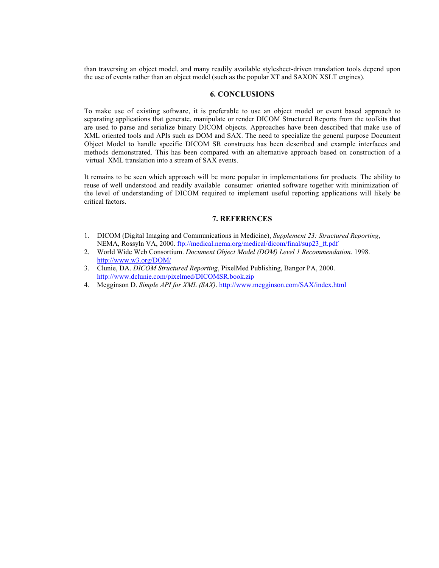than traversing an object model, and many readily available stylesheet-driven translation tools depend upon the use of events rather than an object model (such as the popular XT and SAXON XSLT engines).

## **6. CONCLUSIONS**

To make use of existing software, it is preferable to use an object model or event based approach to separating applications that generate, manipulate or render DICOM Structured Reports from the toolkits that are used to parse and serialize binary DICOM objects. Approaches have been described that make use of XML oriented tools and APIs such as DOM and SAX. The need to specialize the general purpose Document Object Model to handle specific DICOM SR constructs has been described and example interfaces and methods demonstrated. This has been compared with an alternative approach based on construction of a virtual XML translation into a stream of SAX events.

It remains to be seen which approach will be more popular in implementations for products. The ability to reuse of well understood and readily available consumer oriented software together with minimization of the level of understanding of DICOM required to implement useful reporting applications will likely be critical factors.

### **7. REFERENCES**

- 1. DICOM (Digital Imaging and Communications in Medicine), *Supplement 23: Structured Reporting*, NEMA, Rossyln VA, 2000. ftp://medical.nema.org/medical/dicom/final/sup23\_ft.pdf
- 2. World Wide Web Consortium. *Document Object Model (DOM) Level 1 Recommendation*. 1998. http://www.w3.org/DOM/
- 3. Clunie, DA. *DICOM Structured Reporting*, PixelMed Publishing, Bangor PA, 2000. http://www.dclunie.com/pixelmed/DICOMSR.book.zip
- 4. Megginson D. *Simple API for XML (SAX)*. http://www.megginson.com/SAX/index.html